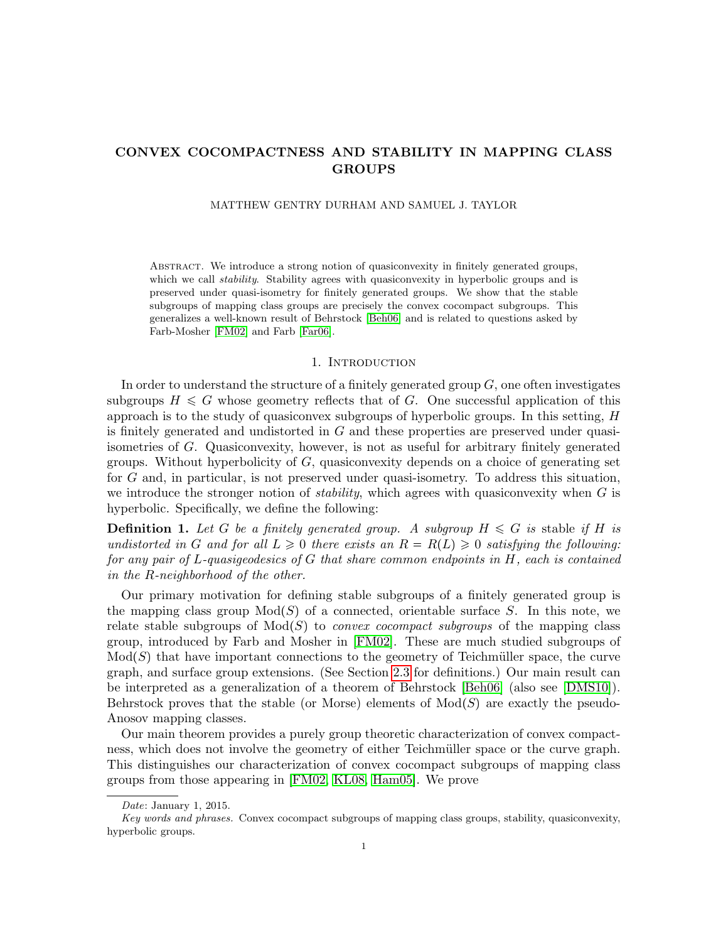# CONVEX COCOMPACTNESS AND STABILITY IN MAPPING CLASS **GROUPS**

#### MATTHEW GENTRY DURHAM AND SAMUEL J. TAYLOR

Abstract. We introduce a strong notion of quasiconvexity in finitely generated groups, which we call *stability*. Stability agrees with quasiconvexity in hyperbolic groups and is preserved under quasi-isometry for finitely generated groups. We show that the stable subgroups of mapping class groups are precisely the convex cocompact subgroups. This generalizes a well-known result of Behrstock [\[Beh06\]](#page-14-0) and is related to questions asked by Farb-Mosher [\[FM02\]](#page-14-1) and Farb [\[Far06\]](#page-14-2).

## 1. INTRODUCTION

In order to understand the structure of a finitely generated group  $G$ , one often investigates subgroups  $H \leq G$  whose geometry reflects that of G. One successful application of this approach is to the study of quasiconvex subgroups of hyperbolic groups. In this setting,  $H$ is finitely generated and undistorted in  $G$  and these properties are preserved under quasiisometries of G. Quasiconvexity, however, is not as useful for arbitrary finitely generated groups. Without hyperbolicity of  $G$ , quasiconvexity depends on a choice of generating set for G and, in particular, is not preserved under quasi-isometry. To address this situation, we introduce the stronger notion of *stability*, which agrees with quasiconvexity when  $G$  is hyperbolic. Specifically, we define the following:

**Definition 1.** Let G be a finitely generated group. A subgroup  $H \leq G$  is stable if H is undistorted in G and for all  $L \geq 0$  there exists an  $R = R(L) \geq 0$  satisfying the following: for any pair of L-quasigeodesics of G that share common endpoints in H, each is contained in the R-neighborhood of the other.

Our primary motivation for defining stable subgroups of a finitely generated group is the mapping class group  $Mod(S)$  of a connected, orientable surface S. In this note, we relate stable subgroups of  $Mod(S)$  to *convex cocompact subgroups* of the mapping class group, introduced by Farb and Mosher in [\[FM02\]](#page-14-1). These are much studied subgroups of  $Mod(S)$  that have important connections to the geometry of Teichmüller space, the curve graph, and surface group extensions. (See Section [2.3](#page-2-0) for definitions.) Our main result can be interpreted as a generalization of a theorem of Behrstock [\[Beh06\]](#page-14-0) (also see [\[DMS10\]](#page-14-3)). Behrstock proves that the stable (or Morse) elements of  $Mod(S)$  are exactly the pseudo-Anosov mapping classes.

Our main theorem provides a purely group theoretic characterization of convex compactness, which does not involve the geometry of either Teichmüller space or the curve graph. This distinguishes our characterization of convex cocompact subgroups of mapping class groups from those appearing in [\[FM02,](#page-14-1) [KL08,](#page-15-0) [Ham05\]](#page-15-1). We prove

Date: January 1, 2015.

Key words and phrases. Convex cocompact subgroups of mapping class groups, stability, quasiconvexity, hyperbolic groups.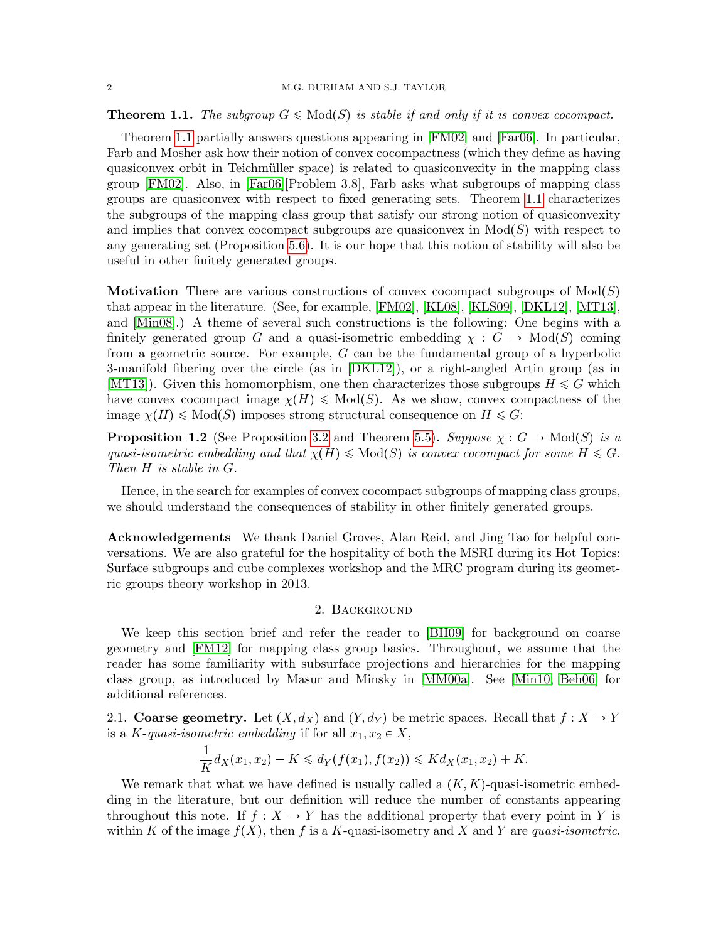<span id="page-1-0"></span>**Theorem 1.1.** The subgroup  $G \leq \text{Mod}(S)$  is stable if and only if it is convex cocompact.

Theorem [1.1](#page-1-0) partially answers questions appearing in [\[FM02\]](#page-14-1) and [\[Far06\]](#page-14-2). In particular, Farb and Mosher ask how their notion of convex cocompactness (which they define as having quasiconvex orbit in Teichmüller space) is related to quasiconvexity in the mapping class group [\[FM02\]](#page-14-1). Also, in [\[Far06\]](#page-14-2)[Problem 3.8], Farb asks what subgroups of mapping class groups are quasiconvex with respect to fixed generating sets. Theorem [1.1](#page-1-0) characterizes the subgroups of the mapping class group that satisfy our strong notion of quasiconvexity and implies that convex cocompact subgroups are quasiconvex in  $Mod(S)$  with respect to any generating set (Proposition [5.6\)](#page-10-0). It is our hope that this notion of stability will also be useful in other finitely generated groups.

**Motivation** There are various constructions of convex cocompact subgroups of  $Mod(S)$ that appear in the literature. (See, for example, [\[FM02\]](#page-14-1), [\[KL08\]](#page-15-0), [\[KLS09\]](#page-15-2), [\[DKL12\]](#page-14-4), [\[MT13\]](#page-15-3), and [\[Min08\]](#page-15-4).) A theme of several such constructions is the following: One begins with a finitely generated group G and a quasi-isometric embedding  $\chi : G \to \text{Mod}(S)$  coming from a geometric source. For example, G can be the fundamental group of a hyperbolic 3-manifold fibering over the circle (as in [\[DKL12\]](#page-14-4)), or a right-angled Artin group (as in [\[MT13\]](#page-15-3)). Given this homomorphism, one then characterizes those subgroups  $H \leq G$  which have convex cocompact image  $\chi(H) \leq \text{Mod}(S)$ . As we show, convex compactness of the image  $\chi(H) \leq \text{Mod}(S)$  imposes strong structural consequence on  $H \leq G$ :

**Proposition 1.2** (See Proposition [3.2](#page-5-0) and Theorem [5.5\)](#page-10-1). Suppose  $\chi : G \to \text{Mod}(S)$  is a quasi-isometric embedding and that  $\chi(H) \leq \text{Mod}(S)$  is convex cocompact for some  $H \leq G$ . Then H is stable in G.

Hence, in the search for examples of convex cocompact subgroups of mapping class groups, we should understand the consequences of stability in other finitely generated groups.

Acknowledgements We thank Daniel Groves, Alan Reid, and Jing Tao for helpful conversations. We are also grateful for the hospitality of both the MSRI during its Hot Topics: Surface subgroups and cube complexes workshop and the MRC program during its geometric groups theory workshop in 2013.

## 2. Background

We keep this section brief and refer the reader to [\[BH09\]](#page-14-5) for background on coarse geometry and [\[FM12\]](#page-14-6) for mapping class group basics. Throughout, we assume that the reader has some familiarity with subsurface projections and hierarchies for the mapping class group, as introduced by Masur and Minsky in [\[MM00a\]](#page-15-5). See [\[Min10,](#page-15-6) [Beh06\]](#page-14-0) for additional references.

2.1. Coarse geometry. Let  $(X, d_X)$  and  $(Y, d_Y)$  be metric spaces. Recall that  $f : X \to Y$ is a K-quasi-isometric embedding if for all  $x_1, x_2 \in X$ ,

$$
\frac{1}{K}d_X(x_1,x_2) - K \leq d_Y(f(x_1),f(x_2)) \leq K d_X(x_1,x_2) + K.
$$

We remark that what we have defined is usually called a  $(K, K)$ -quasi-isometric embedding in the literature, but our definition will reduce the number of constants appearing throughout this note. If  $f : X \to Y$  has the additional property that every point in Y is within K of the image  $f(X)$ , then f is a K-quasi-isometry and X and Y are quasi-isometric.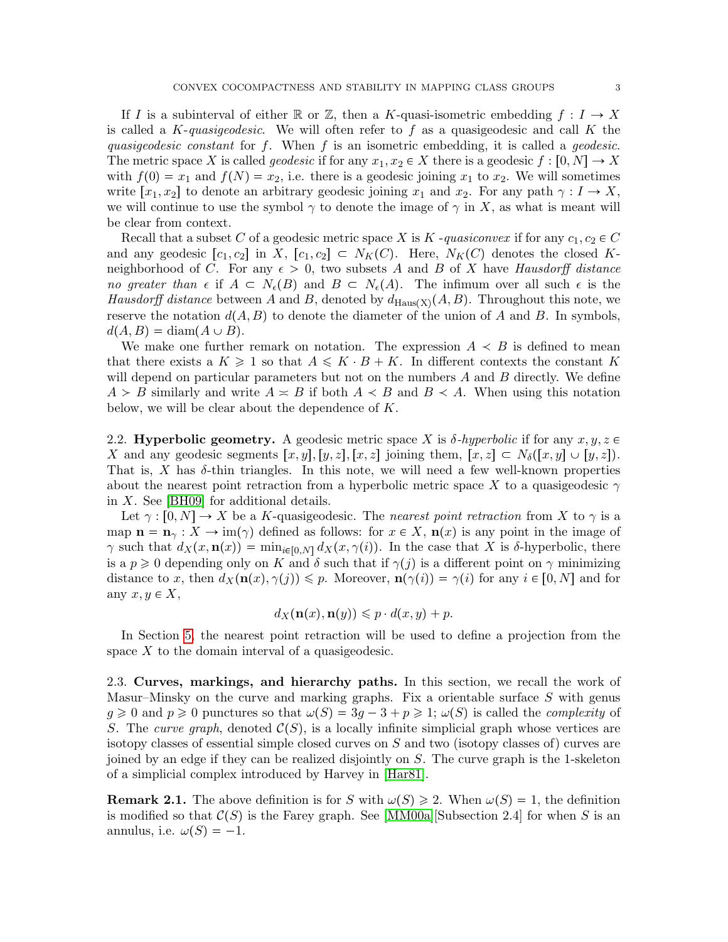If I is a subinterval of either R or Z, then a K-quasi-isometric embedding  $f: I \to X$ is called a  $K$ -quasigeodesic. We will often refer to f as a quasigeodesic and call K the quasigeodesic constant for  $f$ . When  $f$  is an isometric embedding, it is called a *geodesic*. The metric space X is called *geodesic* if for any  $x_1, x_2 \in X$  there is a geodesic  $f : [0, N] \to X$ with  $f(0) = x_1$  and  $f(N) = x_2$ , i.e. there is a geodesic joining  $x_1$  to  $x_2$ . We will sometimes write  $[x_1, x_2]$  to denote an arbitrary geodesic joining  $x_1$  and  $x_2$ . For any path  $\gamma : I \to X$ , we will continue to use the symbol  $\gamma$  to denote the image of  $\gamma$  in X, as what is meant will be clear from context.

Recall that a subset C of a geodesic metric space X is K-quasiconvex if for any  $c_1, c_2 \in C$ and any geodesic  $[c_1, c_2]$  in X,  $[c_1, c_2] \subset N_K(C)$ . Here,  $N_K(C)$  denotes the closed Kneighborhood of C. For any  $\epsilon > 0$ , two subsets A and B of X have Hausdorff distance no greater than  $\epsilon$  if  $A \subset N_{\epsilon}(B)$  and  $B \subset N_{\epsilon}(A)$ . The infimum over all such  $\epsilon$  is the Hausdorff distance between A and B, denoted by  $d_{\text{Haus}(X)}(A, B)$ . Throughout this note, we reserve the notation  $d(A, B)$  to denote the diameter of the union of A and B. In symbols,  $d(A, B) = \text{diam}(A \cup B).$ 

We make one further remark on notation. The expression  $A \prec B$  is defined to mean that there exists a  $K \geq 1$  so that  $A \leq K \cdot B + K$ . In different contexts the constant K will depend on particular parameters but not on the numbers  $A$  and  $B$  directly. We define  $A > B$  similarly and write  $A \leq B$  if both  $A < B$  and  $B < A$ . When using this notation below, we will be clear about the dependence of  $K$ .

<span id="page-2-1"></span>2.2. Hyperbolic geometry. A geodesic metric space X is  $\delta$ -hyperbolic if for any  $x, y, z \in$ X and any geodesic segments  $[x, y], [y, z], [x, z]$  joining them,  $[x, z] \subset N_{\delta}([x, y] \cup [y, z])$ . That is,  $X$  has  $\delta$ -thin triangles. In this note, we will need a few well-known properties about the nearest point retraction from a hyperbolic metric space X to a quasigeodesic  $\gamma$ in X. See [\[BH09\]](#page-14-5) for additional details.

Let  $\gamma : [0, N] \to X$  be a K-quasigeodesic. The nearest point retraction from X to  $\gamma$  is a map  $\mathbf{n} = \mathbf{n}_{\gamma}: X \to \text{im}(\gamma)$  defined as follows: for  $x \in X$ ,  $\mathbf{n}(x)$  is any point in the image of  $\gamma$  such that  $d_X(x, \mathbf{n}(x)) = \min_{i \in [0,N]} d_X(x, \gamma(i))$ . In the case that X is δ-hyperbolic, there is a  $p \geq 0$  depending only on K and  $\delta$  such that if  $\gamma(j)$  is a different point on  $\gamma$  minimizing distance to x, then  $d_X(\mathbf{n}(x), \gamma(j)) \leq p$ . Moreover,  $\mathbf{n}(\gamma(i)) = \gamma(i)$  for any  $i \in [0, N]$  and for any  $x, y \in X$ ,

$$
d_X(\mathbf{n}(x), \mathbf{n}(y)) \leq p \cdot d(x, y) + p.
$$

In Section [5,](#page-7-0) the nearest point retraction will be used to define a projection from the space  $X$  to the domain interval of a quasigeodesic.

<span id="page-2-0"></span>2.3. Curves, markings, and hierarchy paths. In this section, we recall the work of Masur–Minsky on the curve and marking graphs. Fix a orientable surface  $S$  with genus  $g \geq 0$  and  $p \geq 0$  punctures so that  $\omega(S) = 3g - 3 + p \geq 1$ ;  $\omega(S)$  is called the *complexity* of S. The curve graph, denoted  $\mathcal{C}(S)$ , is a locally infinite simplicial graph whose vertices are isotopy classes of essential simple closed curves on S and two (isotopy classes of) curves are joined by an edge if they can be realized disjointly on S. The curve graph is the 1-skeleton of a simplicial complex introduced by Harvey in [\[Har81\]](#page-15-7).

**Remark 2.1.** The above definition is for S with  $\omega(S) \geq 2$ . When  $\omega(S) = 1$ , the definition is modified so that  $C(S)$  is the Farey graph. See [\[MM00a\]](#page-15-5)[Subsection 2.4] for when S is an annulus, i.e.  $\omega(S) = -1$ .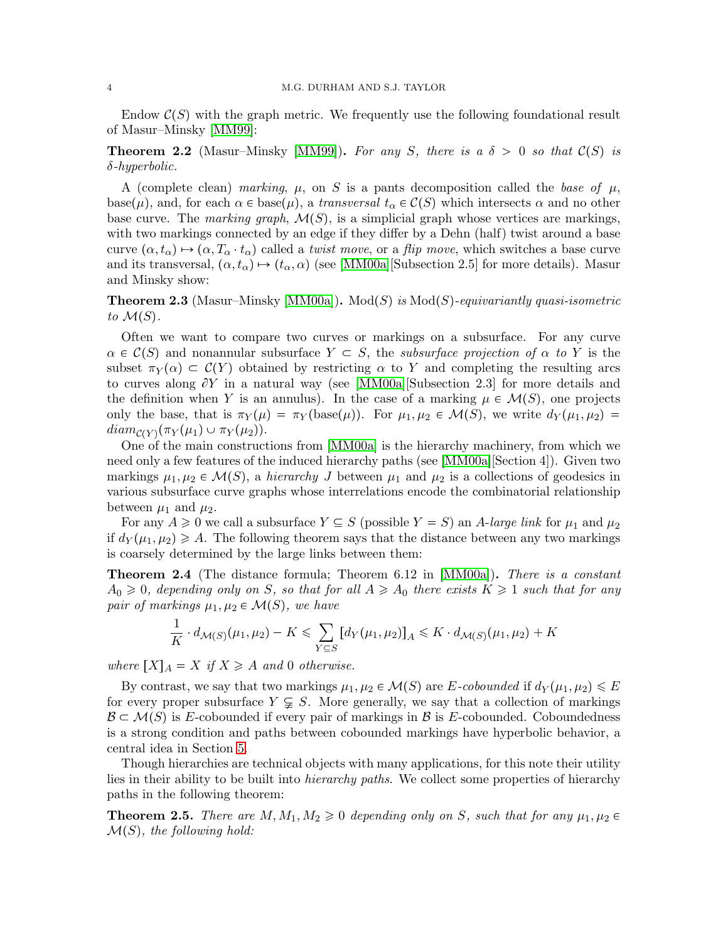Endow  $\mathcal{C}(S)$  with the graph metric. We frequently use the following foundational result of Masur–Minsky [\[MM99\]](#page-15-8):

**Theorem 2.2** (Masur–Minsky [\[MM99\]](#page-15-8)). For any S, there is a  $\delta > 0$  so that  $\mathcal{C}(S)$  is δ-hyperbolic.

A (complete clean) marking,  $\mu$ , on S is a pants decomposition called the base of  $\mu$ , base( $\mu$ ), and, for each  $\alpha \in \text{base}(\mu)$ , a transversal  $t_{\alpha} \in \mathcal{C}(S)$  which intersects  $\alpha$  and no other base curve. The marking graph,  $\mathcal{M}(S)$ , is a simplicial graph whose vertices are markings, with two markings connected by an edge if they differ by a Dehn (half) twist around a base curve  $(\alpha, t_\alpha) \mapsto (\alpha, T_\alpha \cdot t_\alpha)$  called a twist move, or a flip move, which switches a base curve and its transversal,  $(\alpha, t_\alpha) \mapsto (t_\alpha, \alpha)$  (see [\[MM00a\]](#page-15-5)[Subsection 2.5] for more details). Masur and Minsky show:

**Theorem 2.3** (Masur–Minsky [\[MM00a\]](#page-15-5)). Mod(S) is Mod(S)-equivariantly quasi-isometric to  $\mathcal{M}(S)$ .

Often we want to compare two curves or markings on a subsurface. For any curve  $\alpha \in \mathcal{C}(S)$  and nonannular subsurface  $Y \subset S$ , the subsurface projection of  $\alpha$  to Y is the subset  $\pi_Y(\alpha) \subset \mathcal{C}(Y)$  obtained by restricting  $\alpha$  to Y and completing the resulting arcs to curves along  $\partial Y$  in a natural way (see [\[MM00a\]](#page-15-5)[Subsection 2.3] for more details and the definition when Y is an annulus). In the case of a marking  $\mu \in \mathcal{M}(S)$ , one projects only the base, that is  $\pi_Y(\mu) = \pi_Y(\text{base}(\mu))$ . For  $\mu_1, \mu_2 \in \mathcal{M}(S)$ , we write  $d_Y(\mu_1, \mu_2) =$  $diam_{\mathcal{C}(Y)}(\pi_Y(\mu_1) \cup \pi_Y(\mu_2)).$ 

One of the main constructions from [\[MM00a\]](#page-15-5) is the hierarchy machinery, from which we need only a few features of the induced hierarchy paths (see [\[MM00a\]](#page-15-5)[Section 4]). Given two markings  $\mu_1, \mu_2 \in \mathcal{M}(S)$ , a hierarchy J between  $\mu_1$  and  $\mu_2$  is a collections of geodesics in various subsurface curve graphs whose interrelations encode the combinatorial relationship between  $\mu_1$  and  $\mu_2$ .

For any  $A \geq 0$  we call a subsurface  $Y \subseteq S$  (possible  $Y = S$ ) an A-large link for  $\mu_1$  and  $\mu_2$ if  $d_Y(\mu_1, \mu_2) \geq A$ . The following theorem says that the distance between any two markings is coarsely determined by the large links between them:

<span id="page-3-0"></span>**Theorem 2.4** (The distance formula; Theorem 6.12 in [\[MM00a\]](#page-15-5)). There is a constant  $A_0 \geq 0$ , depending only on S, so that for all  $A \geq A_0$  there exists  $K \geq 1$  such that for any pair of markings  $\mu_1, \mu_2 \in \mathcal{M}(S)$ , we have

$$
\frac{1}{K} \cdot d_{\mathcal{M}(S)}(\mu_1, \mu_2) - K \leqslant \sum_{Y \subseteq S} \left[ d_Y(\mu_1, \mu_2) \right]_A \leqslant K \cdot d_{\mathcal{M}(S)}(\mu_1, \mu_2) + K
$$

where  $[X]_A = X$  if  $X \geq A$  and 0 otherwise.

By contrast, we say that two markings  $\mu_1, \mu_2 \in \mathcal{M}(S)$  are E-cobounded if  $d_Y(\mu_1, \mu_2) \leq E$ for every proper subsurface  $Y \subsetneq S$ . More generally, we say that a collection of markings  $\mathcal{B} \subset \mathcal{M}(S)$  is E-cobounded if every pair of markings in  $\mathcal{B}$  is E-cobounded. Coboundedness is a strong condition and paths between cobounded markings have hyperbolic behavior, a central idea in Section [5.](#page-7-0)

Though hierarchies are technical objects with many applications, for this note their utility lies in their ability to be built into hierarchy paths. We collect some properties of hierarchy paths in the following theorem:

<span id="page-3-1"></span>**Theorem 2.5.** There are  $M, M_1, M_2 \ge 0$  depending only on S, such that for any  $\mu_1, \mu_2 \in$  $\mathcal{M}(S)$ , the following hold: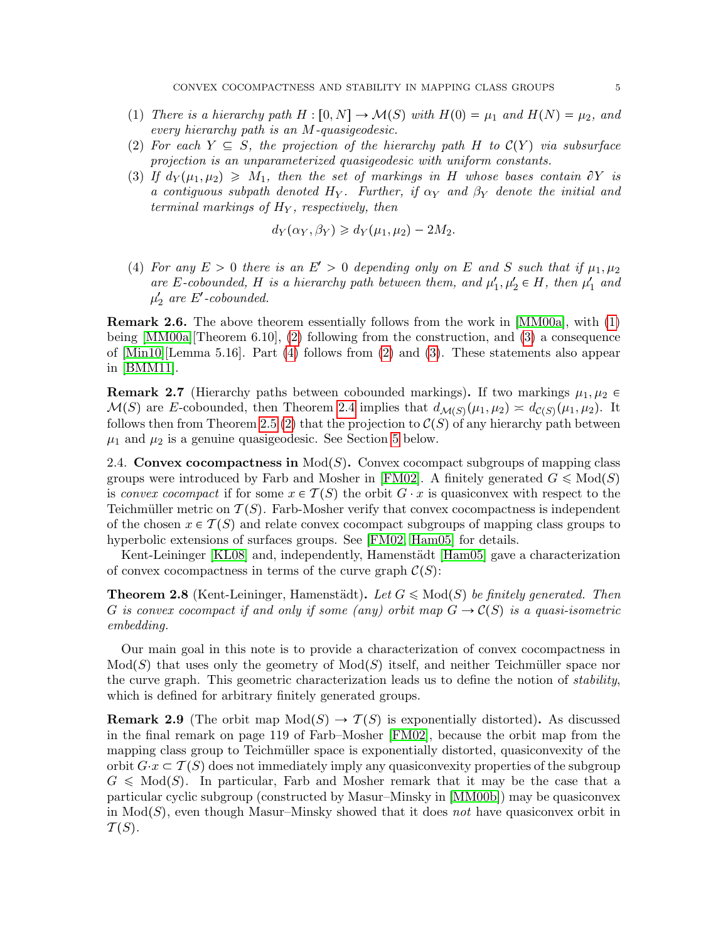- <span id="page-4-0"></span>(1) There is a hierarchy path  $H : [0, N] \to \mathcal{M}(S)$  with  $H(0) = \mu_1$  and  $H(N) = \mu_2$ , and every hierarchy path is an M-quasigeodesic.
- <span id="page-4-1"></span>(2) For each  $Y \subseteq S$ , the projection of the hierarchy path H to  $\mathcal{C}(Y)$  via subsurface projection is an unparameterized quasigeodesic with uniform constants.
- <span id="page-4-2"></span>(3) If  $d_Y(\mu_1, \mu_2) \geq M_1$ , then the set of markings in H whose bases contain  $\partial Y$  is a contiguous subpath denoted  $H_Y$ . Further, if  $\alpha_Y$  and  $\beta_Y$  denote the initial and terminal markings of  $H_Y$ , respectively, then

$$
d_Y(\alpha_Y, \beta_Y) \geq d_Y(\mu_1, \mu_2) - 2M_2.
$$

<span id="page-4-3"></span>(4) For any  $E > 0$  there is an  $E' > 0$  depending only on E and S such that if  $\mu_1, \mu_2$ are E-cobounded, H is a hierarchy path between them, and  $\mu'_1, \mu'_2 \in H$ , then  $\mu'_1$  and  $\mu'_2$  are E'-cobounded.

Remark 2.6. The above theorem essentially follows from the work in [\[MM00a\]](#page-15-5), with [\(1\)](#page-4-0) being [\[MM00a\]](#page-15-5)[Theorem 6.10], [\(2\)](#page-4-1) following from the construction, and [\(3\)](#page-4-2) a consequence of [\[Min10\]](#page-15-6)[Lemma 5.16]. Part [\(4\)](#page-4-3) follows from [\(2\)](#page-4-1) and [\(3\)](#page-4-2). These statements also appear in [\[BMM11\]](#page-14-7).

**Remark 2.7** (Hierarchy paths between cobounded markings). If two markings  $\mu_1, \mu_2$  $\mathcal{M}(S)$  are E-cobounded, then Theorem [2.4](#page-3-0) implies that  $d_{\mathcal{M}(S)}(\mu_1, \mu_2) \approx d_{\mathcal{C}(S)}(\mu_1, \mu_2)$ . It follows then from Theorem [2.5](#page-3-1) [\(2\)](#page-4-1) that the projection to  $\mathcal{C}(S)$  of any hierarchy path between  $\mu_1$  and  $\mu_2$  is a genuine quasigeodesic. See Section [5](#page-7-0) below.

2.4. Convex cocompactness in  $Mod(S)$ . Convex cocompact subgroups of mapping class groups were introduced by Farb and Mosher in [\[FM02\]](#page-14-1). A finitely generated  $G \leq \text{Mod}(S)$ is convex cocompact if for some  $x \in \mathcal{T}(S)$  the orbit  $G \cdot x$  is quasiconvex with respect to the Teichmüller metric on  $\mathcal{T}(S)$ . Farb-Mosher verify that convex cocompactness is independent of the chosen  $x \in \mathcal{T}(S)$  and relate convex cocompact subgroups of mapping class groups to hyperbolic extensions of surfaces groups. See [\[FM02,](#page-14-1) [Ham05\]](#page-15-1) for details.

Kent-Leininger [\[KL08\]](#page-15-0) and, independently, Hamenstädt [\[Ham05\]](#page-15-1) gave a characterization of convex cocompactness in terms of the curve graph  $\mathcal{C}(S)$ :

<span id="page-4-4"></span>**Theorem 2.8** (Kent-Leininger, Hamenstädt). Let  $G \leq \text{Mod}(S)$  be finitely generated. Then G is convex cocompact if and only if some (any) orbit map  $G \to \mathcal{C}(S)$  is a quasi-isometric embedding.

Our main goal in this note is to provide a characterization of convex cocompactness in  $Mod(S)$  that uses only the geometry of  $Mod(S)$  itself, and neither Teichmüller space nor the curve graph. This geometric characterization leads us to define the notion of *stability*, which is defined for arbitrary finitely generated groups.

**Remark 2.9** (The orbit map  $Mod(S) \rightarrow \mathcal{T}(S)$  is exponentially distorted). As discussed in the final remark on page 119 of Farb–Mosher [\[FM02\]](#page-14-1), because the orbit map from the mapping class group to Teichmüller space is exponentially distorted, quasiconvexity of the orbit  $G \text{·} x \subset \mathcal{T}(S)$  does not immediately imply any quasiconvexity properties of the subgroup  $G \leq \text{Mod}(S)$ . In particular, Farb and Mosher remark that it may be the case that a particular cyclic subgroup (constructed by Masur–Minsky in [\[MM00b\]](#page-15-9)) may be quasiconvex in  $Mod(S)$ , even though Masur–Minsky showed that it does not have quasiconvex orbit in  $\mathcal{T}(S)$ .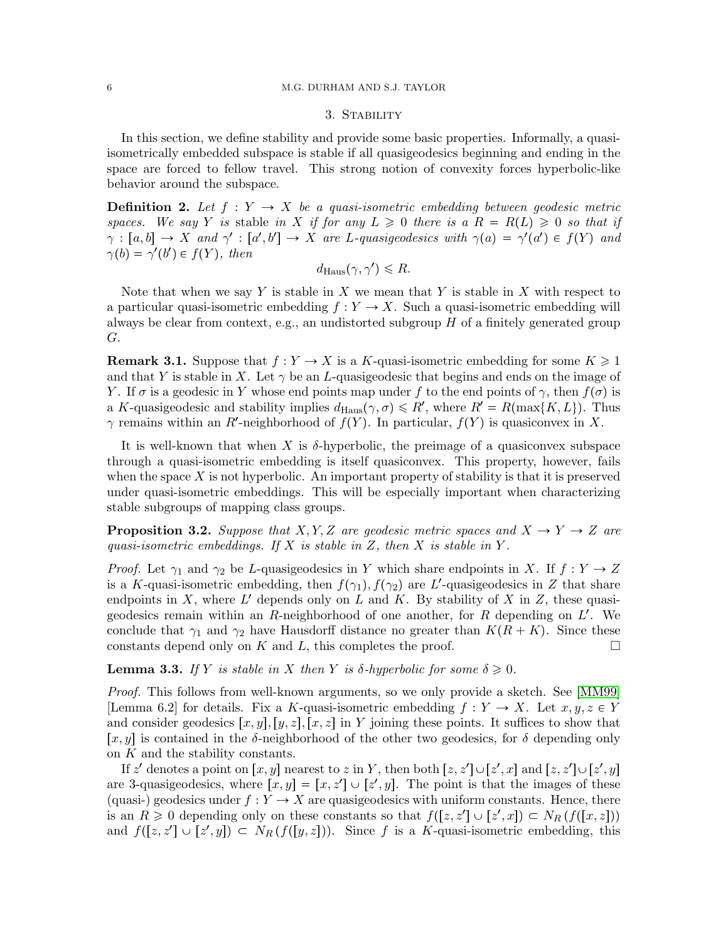#### 6 M.G. DURHAM AND S.J. TAYLOR

## 3. Stability

In this section, we define stability and provide some basic properties. Informally, a quasiisometrically embedded subspace is stable if all quasigeodesics beginning and ending in the space are forced to fellow travel. This strong notion of convexity forces hyperbolic-like behavior around the subspace.

<span id="page-5-1"></span>**Definition 2.** Let  $f : Y \to X$  be a quasi-isometric embedding between geodesic metric spaces. We say Y is stable in X if for any  $L \geq 0$  there is a  $R = R(L) \geq 0$  so that if  $\gamma : [a, b] \to X$  and  $\gamma' : [a', b'] \to X$  are L-quasigeodesics with  $\gamma(a) = \gamma'(a') \in f(Y)$  and  $\gamma(b) = \gamma'(b') \in f(Y)$ , then

$$
d_{\text{Haus}}(\gamma, \gamma') \le R.
$$

Note that when we say Y is stable in X we mean that Y is stable in X with respect to a particular quasi-isometric embedding  $f : Y \to X$ . Such a quasi-isometric embedding will always be clear from context, e.g., an undistorted subgroup  $H$  of a finitely generated group G.

<span id="page-5-2"></span>**Remark 3.1.** Suppose that  $f: Y \to X$  is a K-quasi-isometric embedding for some  $K \geq 1$ and that Y is stable in X. Let  $\gamma$  be an L-quasigeodesic that begins and ends on the image of Y. If  $\sigma$  is a geodesic in Y whose end points map under f to the end points of  $\gamma$ , then  $f(\sigma)$  is a K-quasigeodesic and stability implies  $d_{\text{Haus}}(\gamma, \sigma) \leq R'$ , where  $R' = R(\max\{K, L\})$ . Thus  $\gamma$  remains within an R'-neighborhood of  $f(Y)$ . In particular,  $f(Y)$  is quasiconvex in X.

It is well-known that when X is  $\delta$ -hyperbolic, the preimage of a quasiconvex subspace through a quasi-isometric embedding is itself quasiconvex. This property, however, fails when the space  $X$  is not hyperbolic. An important property of stability is that it is preserved under quasi-isometric embeddings. This will be especially important when characterizing stable subgroups of mapping class groups.

<span id="page-5-0"></span>**Proposition 3.2.** Suppose that X, Y, Z are geodesic metric spaces and  $X \rightarrow Y \rightarrow Z$  are quasi-isometric embeddings. If  $X$  is stable in  $Z$ , then  $X$  is stable in  $Y$ .

*Proof.* Let  $\gamma_1$  and  $\gamma_2$  be L-quasigeodesics in Y which share endpoints in X. If  $f: Y \to Z$ is a K-quasi-isometric embedding, then  $f(\gamma_1)$ ,  $f(\gamma_2)$  are L'-quasigeodesics in Z that share endpoints in X, where  $L'$  depends only on  $L$  and  $K$ . By stability of  $X$  in  $Z$ , these quasigeodesics remain within an  $R$ -neighborhood of one another, for  $R$  depending on  $L'$ . We conclude that  $\gamma_1$  and  $\gamma_2$  have Hausdorff distance no greater than  $K(R + K)$ . Since these constants depend only on K and L, this completes the proof.  $\Box$ 

**Lemma 3.3.** If Y is stable in X then Y is  $\delta$ -hyperbolic for some  $\delta \geq 0$ .

Proof. This follows from well-known arguments, so we only provide a sketch. See [\[MM99\]](#page-15-8) [Lemma 6.2] for details. Fix a K-quasi-isometric embedding  $f: Y \to X$ . Let  $x, y, z \in Y$ and consider geodesics  $[x, y], [y, z], [x, z]$  in Y joining these points. It suffices to show that [x, y] is contained in the δ-neighborhood of the other two geodesics, for δ depending only on K and the stability constants.

If z' denotes a point on  $[x, y]$  nearest to z in Y, then both  $[z, z'] \cup [z', x]$  and  $[z, z'] \cup [z', y]$ are 3-quasigeodesics, where  $[x, y] = [x, z'] \cup [z', y]$ . The point is that the images of these (quasi-) geodesics under  $f: Y \to X$  are quasigeodesics with uniform constants. Hence, there is an  $R \geq 0$  depending only on these constants so that  $f([z, z'] \cup [z', x]) \subset N_R(f([x, z]))$ and  $f([z, z'] \cup [z', y]) \subset N_R(f([y, z]))$ . Since f is a K-quasi-isometric embedding, this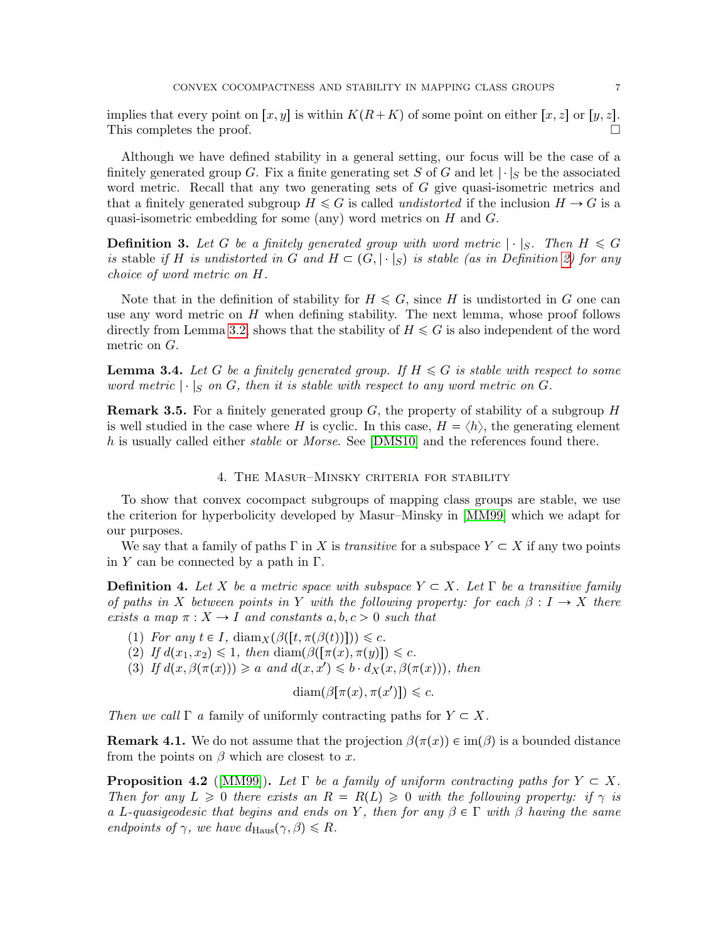implies that every point on  $[x, y]$  is within  $K(R+K)$  of some point on either  $[x, z]$  or  $[y, z]$ . This completes the proof.  $\Box$ 

Although we have defined stability in a general setting, our focus will be the case of a finitely generated group G. Fix a finite generating set S of G and let  $\|\cdot\|_S$  be the associated word metric. Recall that any two generating sets of G give quasi-isometric metrics and that a finitely generated subgroup  $H \leq G$  is called undistorted if the inclusion  $H \to G$  is a quasi-isometric embedding for some (any) word metrics on  $H$  and  $G$ .

**Definition 3.** Let G be a finitely generated group with word metric  $\cdot$   $\mid$   $\cdot$   $S$ . Then  $H \le G$ is stable if H is undistorted in G and  $H \subset (G, |\cdot|_S)$  is stable (as in Definition [2\)](#page-5-1) for any choice of word metric on H.

Note that in the definition of stability for  $H \leq G$ , since H is undistorted in G one can use any word metric on  $H$  when defining stability. The next lemma, whose proof follows directly from Lemma [3.2,](#page-5-0) shows that the stability of  $H \leq G$  is also independent of the word metric on G.

**Lemma 3.4.** Let G be a finitely generated group. If  $H \leq G$  is stable with respect to some word metric  $||s|$  on G, then it is stable with respect to any word metric on G.

**Remark 3.5.** For a finitely generated group  $G$ , the property of stability of a subgroup  $H$ is well studied in the case where H is cyclic. In this case,  $H = \langle h \rangle$ , the generating element h is usually called either *stable* or *Morse*. See [\[DMS10\]](#page-14-3) and the references found there.

#### 4. The Masur–Minsky criteria for stability

To show that convex cocompact subgroups of mapping class groups are stable, we use the criterion for hyperbolicity developed by Masur–Minsky in [\[MM99\]](#page-15-8) which we adapt for our purposes.

We say that a family of paths  $\Gamma$  in X is transitive for a subspace  $Y \subset X$  if any two points in Y can be connected by a path in  $\Gamma$ .

<span id="page-6-0"></span>**Definition 4.** Let X be a metric space with subspace  $Y \subset X$ . Let  $\Gamma$  be a transitive family of paths in X between points in Y with the following property: for each  $\beta: I \to X$  there exists a map  $\pi: X \to I$  and constants a, b,  $c > 0$  such that

- (1) For any  $t \in I$ , diam $\chi(\beta([t, \pi(\beta(t))])) \leqslant c$ .
- (2) If  $d(x_1, x_2) \leq 1$ , then  $\text{diam}(\beta([\pi(x), \pi(y)]) \leq c$ .
- (3) If  $d(x, \beta(\pi(x))) \geq a$  and  $d(x, x') \leq b \cdot d_X(x, \beta(\pi(x)))$ , then

$$
\operatorname{diam}(\beta[\pi(x), \pi(x')]) \leq c.
$$

Then we call  $\Gamma$  a family of uniformly contracting paths for  $Y \subset X$ .

**Remark 4.1.** We do not assume that the projection  $\beta(\pi(x)) \in \text{im}(\beta)$  is a bounded distance from the points on  $\beta$  which are closest to x.

<span id="page-6-1"></span>**Proposition 4.2** ([\[MM99\]](#page-15-8)). Let  $\Gamma$  be a family of uniform contracting paths for  $Y \subset X$ . Then for any  $L \geq 0$  there exists an  $R = R(L) \geq 0$  with the following property: if  $\gamma$  is a L-quasigeodesic that begins and ends on Y, then for any  $\beta \in \Gamma$  with  $\beta$  having the same endpoints of  $\gamma$ , we have  $d_{\text{Haus}}(\gamma, \beta) \leq R$ .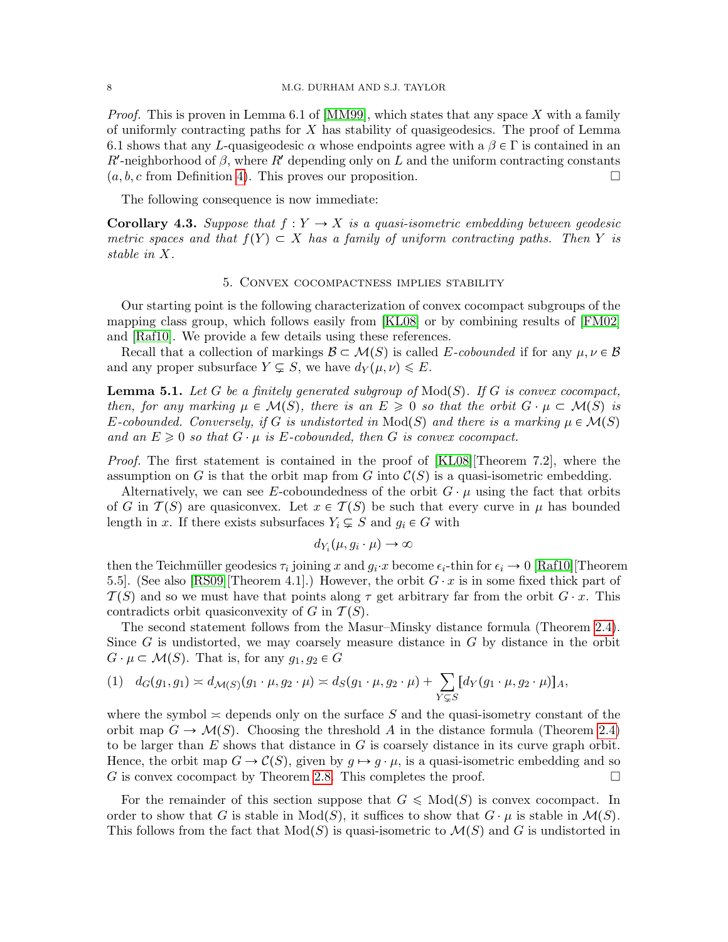*Proof.* This is proven in Lemma 6.1 of [\[MM99\]](#page-15-8), which states that any space X with a family of uniformly contracting paths for  $X$  has stability of quasigeodesics. The proof of Lemma 6.1 shows that any L-quasigeodesic  $\alpha$  whose endpoints agree with a  $\beta \in \Gamma$  is contained in an  $R'$ -neighborhood of  $\beta$ , where  $R'$  depending only on L and the uniform contracting constants  $(a, b, c \text{ from Definition 4}).$  This proves our proposition.

The following consequence is now immediate:

<span id="page-7-2"></span>**Corollary 4.3.** Suppose that  $f: Y \to X$  is a quasi-isometric embedding between geodesic metric spaces and that  $f(Y) \subset X$  has a family of uniform contracting paths. Then Y is stable in X.

#### 5. Convex cocompactness implies stability

<span id="page-7-0"></span>Our starting point is the following characterization of convex cocompact subgroups of the mapping class group, which follows easily from [\[KL08\]](#page-15-0) or by combining results of [\[FM02\]](#page-14-1) and [\[Raf10\]](#page-15-10). We provide a few details using these references.

Recall that a collection of markings  $\mathcal{B} \subset \mathcal{M}(S)$  is called E-cobounded if for any  $\mu, \nu \in \mathcal{B}$ and any proper subsurface  $Y \subsetneq S$ , we have  $d_Y(\mu, \nu) \leq E$ .

<span id="page-7-1"></span>**Lemma 5.1.** Let G be a finitely generated subgroup of  $Mod(S)$ . If G is convex cocompact, then, for any marking  $\mu \in \mathcal{M}(S)$ , there is an  $E \geq 0$  so that the orbit  $G \cdot \mu \subset \mathcal{M}(S)$  is E-cobounded. Conversely, if G is undistorted in  $Mod(S)$  and there is a marking  $\mu \in \mathcal{M}(S)$ and an  $E \geq 0$  so that  $G \cdot \mu$  is E-cobounded, then G is convex cocompact.

Proof. The first statement is contained in the proof of [\[KL08\]](#page-15-0)[Theorem 7.2], where the assumption on G is that the orbit map from G into  $\mathcal{C}(S)$  is a quasi-isometric embedding.

Alternatively, we can see E-coboundedness of the orbit  $G \cdot \mu$  using the fact that orbits of G in  $T(S)$  are quasiconvex. Let  $x \in T(S)$  be such that every curve in  $\mu$  has bounded length in x. If there exists subsurfaces  $Y_i \subsetneq S$  and  $g_i \in G$  with

$$
d_{Y_i}(\mu, g_i \cdot \mu) \to \infty
$$

then the Teichmüller geodesics  $\tau_i$  joining x and  $g_i$  x become  $\epsilon_i$ -thin for  $\epsilon_i \to 0$  [\[Raf10\]](#page-15-10)[Theorem 5.5]. (See also [\[RS09\]](#page-15-11)[Theorem 4.1].) However, the orbit  $G \cdot x$  is in some fixed thick part of  $\mathcal{T}(S)$  and so we must have that points along  $\tau$  get arbitrary far from the orbit  $G \cdot x$ . This contradicts orbit quasiconvexity of G in  $\mathcal{T}(S)$ .

The second statement follows from the Masur–Minsky distance formula (Theorem [2.4\)](#page-3-0). Since  $G$  is undistorted, we may coarsely measure distance in  $G$  by distance in the orbit  $G \cdot \mu \subset \mathcal{M}(S)$ . That is, for any  $g_1, g_2 \in G$ 

$$
(1) d_G(g_1, g_1) \simeq d_{\mathcal{M}(S)}(g_1 \cdot \mu, g_2 \cdot \mu) \simeq d_S(g_1 \cdot \mu, g_2 \cdot \mu) + \sum_{Y \subsetneq S} [d_Y(g_1 \cdot \mu, g_2 \cdot \mu)]_A,
$$

where the symbol  $\geq$  depends only on the surface S and the quasi-isometry constant of the orbit map  $G \to \mathcal{M}(S)$ . Choosing the threshold A in the distance formula (Theorem [2.4\)](#page-3-0) to be larger than  $E$  shows that distance in  $G$  is coarsely distance in its curve graph orbit. Hence, the orbit map  $G \to \mathcal{C}(S)$ , given by  $g \mapsto g \cdot \mu$ , is a quasi-isometric embedding and so G is convex cocompact by Theorem [2.8.](#page-4-4) This completes the proof.  $\Box$ 

For the remainder of this section suppose that  $G \leq \text{Mod}(S)$  is convex cocompact. In order to show that G is stable in  $Mod(S)$ , it suffices to show that  $G \cdot \mu$  is stable in  $\mathcal{M}(S)$ . This follows from the fact that  $Mod(S)$  is quasi-isometric to  $\mathcal{M}(S)$  and G is undistorted in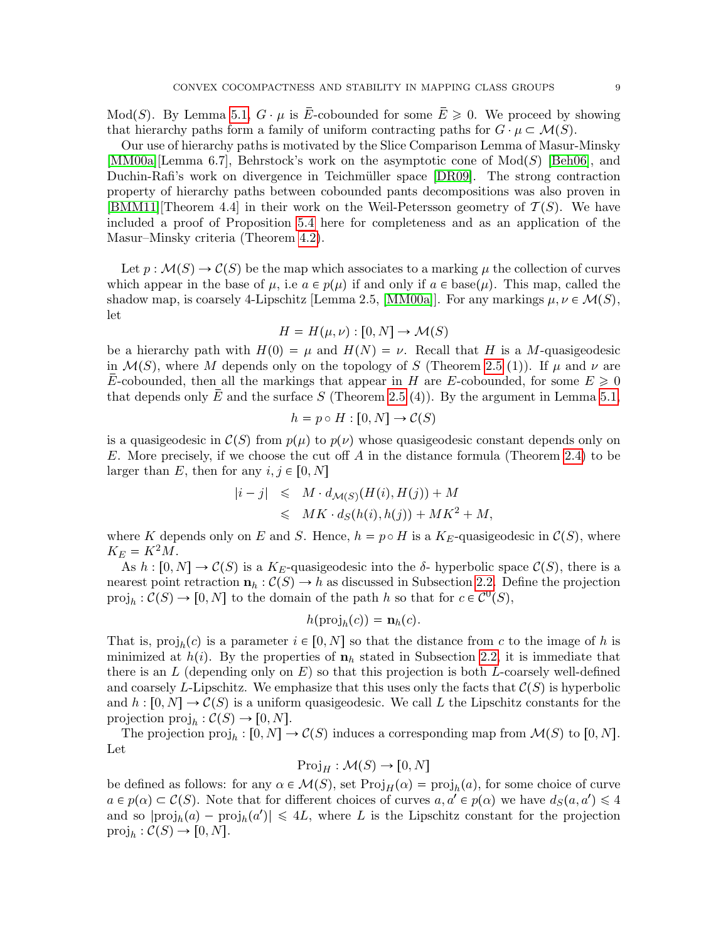Mod(S). By Lemma [5.1,](#page-7-1)  $G \cdot \mu$  is E-cobounded for some  $E \geq 0$ . We proceed by showing that hierarchy paths form a family of uniform contracting paths for  $G \cdot \mu \subset \mathcal{M}(S)$ .

Our use of hierarchy paths is motivated by the Slice Comparison Lemma of Masur-Minsky  $[MM00a][Lemma 6.7],$  $[MM00a][Lemma 6.7],$  Behrstock's work on the asymptotic cone of  $Mod(S)$  [\[Beh06\]](#page-14-0), and Duchin-Rafi's work on divergence in Teichmüller space [\[DR09\]](#page-14-8). The strong contraction property of hierarchy paths between cobounded pants decompositions was also proven in [\[BMM11\]](#page-14-7)][Theorem 4.4] in their work on the Weil-Petersson geometry of  $\mathcal{T}(S)$ . We have included a proof of Proposition [5.4](#page-9-0) here for completeness and as an application of the Masur–Minsky criteria (Theorem [4.2\)](#page-6-1).

Let  $p : \mathcal{M}(S) \to \mathcal{C}(S)$  be the map which associates to a marking  $\mu$  the collection of curves which appear in the base of  $\mu$ , i.e  $a \in p(\mu)$  if and only if  $a \in base(\mu)$ . This map, called the shadow map, is coarsely 4-Lipschitz [Lemma 2.5, [\[MM00a\]](#page-15-5)]. For any markings  $\mu, \nu \in \mathcal{M}(S)$ , let

$$
H = H(\mu, \nu) : [0, N] \to \mathcal{M}(S)
$$

be a hierarchy path with  $H(0) = \mu$  and  $H(N) = \nu$ . Recall that H is a M-quasigeodesic in  $\mathcal{M}(S)$ , where M depends only on the topology of S (Theorem [2.5](#page-3-1) (1)). If  $\mu$  and  $\nu$  are E-cobounded, then all the markings that appear in H are E-cobounded, for some  $E \geq 0$ that depends only E and the surface S (Theorem [2.5](#page-3-1) (4)). By the argument in Lemma [5.1,](#page-7-1)

$$
h = p \circ H : [0, N] \to C(S)
$$

is a quasigeodesic in  $\mathcal{C}(S)$  from  $p(\mu)$  to  $p(\nu)$  whose quasigeodesic constant depends only on E. More precisely, if we choose the cut off A in the distance formula (Theorem [2.4\)](#page-3-0) to be larger than E, then for any  $i, j \in [0, N]$ 

$$
|i - j| \leq M \cdot d_{\mathcal{M}(S)}(H(i), H(j)) + M
$$
  

$$
\leq M K \cdot d_S(h(i), h(j)) + M K^2 + M,
$$

where K depends only on E and S. Hence,  $h = p \circ H$  is a  $K_E$ -quasigeodesic in  $\mathcal{C}(S)$ , where  $K_E = K^2 M$ .

As  $h : [0, N] \to C(S)$  is a  $K_{E}$ -quasigeodesic into the  $\delta$ - hyperbolic space  $C(S)$ , there is a nearest point retraction  $\mathbf{n}_h : \mathcal{C}(S) \to h$  as discussed in Subsection [2.2.](#page-2-1) Define the projection  $proj_h : C(S) \to [0, N]$  to the domain of the path h so that for  $c \in C^0(S)$ ,

$$
h(\operatorname{proj}_h(c)) = \mathbf{n}_h(c).
$$

That is,  $\text{proj}_h(c)$  is a parameter  $i \in [0, N]$  so that the distance from c to the image of h is minimized at  $h(i)$ . By the properties of  $\mathbf{n}_h$  stated in Subsection [2.2,](#page-2-1) it is immediate that there is an L (depending only on  $E$ ) so that this projection is both L-coarsely well-defined and coarsely L-Lipschitz. We emphasize that this uses only the facts that  $\mathcal{C}(S)$  is hyperbolic and  $h: [0, N] \to \mathcal{C}(S)$  is a uniform quasigeodesic. We call L the Lipschitz constants for the projection  $\text{proj}_h : \mathcal{C}(S) \to [0, N].$ 

The projection  $\text{proj}_h : [0, N] \to C(S)$  induces a corresponding map from  $\mathcal{M}(S)$  to  $[0, N]$ . Let

$$
\text{Proj}_H: \mathcal{M}(S) \to [0, N]
$$

be defined as follows: for any  $\alpha \in \mathcal{M}(S)$ , set  $\text{Proj}_H(\alpha) = \text{proj}_h(a)$ , for some choice of curve  $a \in p(\alpha) \subset C(S)$ . Note that for different choices of curves  $a, a' \in p(\alpha)$  we have  $d_S(a, a') \leq 4$ and so  $|proj_h(a) - proj_h(a')| \leq 4L$ , where L is the Lipschitz constant for the projection  $\text{proj}_h : \mathcal{C}(S) \to [0, N].$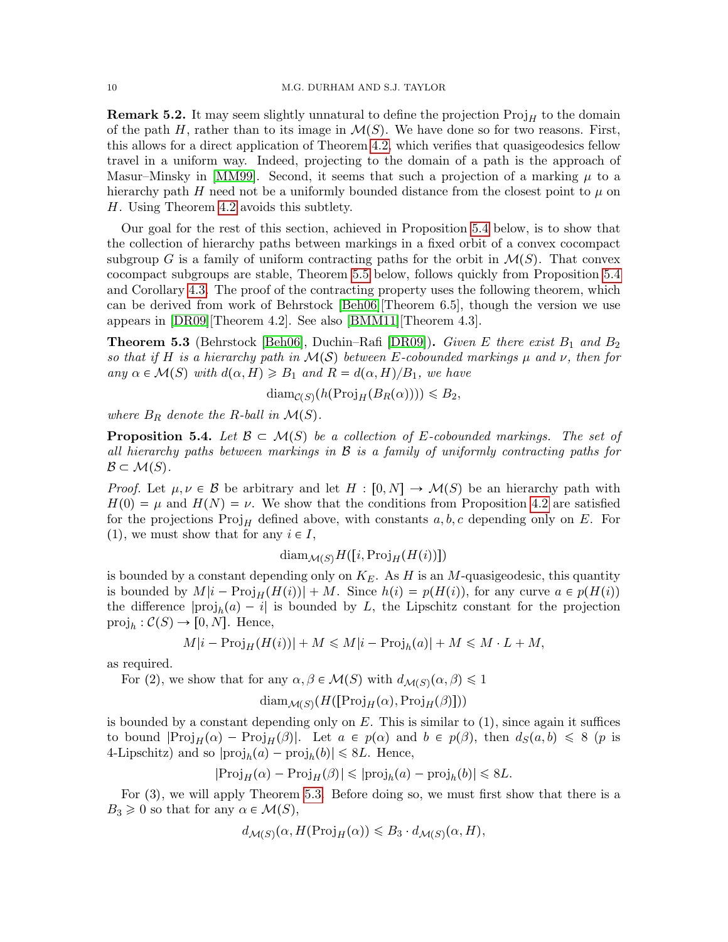**Remark 5.2.** It may seem slightly unnatural to define the projection  $\text{Proj}_H$  to the domain of the path H, rather than to its image in  $\mathcal{M}(S)$ . We have done so for two reasons. First, this allows for a direct application of Theorem [4.2,](#page-6-1) which verifies that quasigeodesics fellow travel in a uniform way. Indeed, projecting to the domain of a path is the approach of Masur–Minsky in [\[MM99\]](#page-15-8). Second, it seems that such a projection of a marking  $\mu$  to a hierarchy path H need not be a uniformly bounded distance from the closest point to  $\mu$  on H. Using Theorem [4.2](#page-6-1) avoids this subtlety.

Our goal for the rest of this section, achieved in Proposition [5.4](#page-9-0) below, is to show that the collection of hierarchy paths between markings in a fixed orbit of a convex cocompact subgroup G is a family of uniform contracting paths for the orbit in  $\mathcal{M}(S)$ . That convex cocompact subgroups are stable, Theorem [5.5](#page-10-1) below, follows quickly from Proposition [5.4](#page-9-0) and Corollary [4.3.](#page-7-2) The proof of the contracting property uses the following theorem, which can be derived from work of Behrstock [\[Beh06\]](#page-14-0)[Theorem 6.5], though the version we use appears in [\[DR09\]](#page-14-8)[Theorem 4.2]. See also [\[BMM11\]](#page-14-7)[Theorem 4.3].

<span id="page-9-1"></span>**Theorem 5.3** (Behrstock [\[Beh06\]](#page-14-0), Duchin–Rafi [\[DR09\]](#page-14-8)). Given E there exist  $B_1$  and  $B_2$ so that if H is a hierarchy path in  $\mathcal{M}(\mathcal{S})$  between E-cobounded markings  $\mu$  and  $\nu$ , then for any  $\alpha \in \mathcal{M}(S)$  with  $d(\alpha, H) \geq B_1$  and  $R = d(\alpha, H)/B_1$ , we have

$$
\text{diam}_{\mathcal{C}(S)}(h(\text{Proj}_H(B_R(\alpha)))) \leq B_2,
$$

where  $B_R$  denote the R-ball in  $\mathcal{M}(S)$ .

<span id="page-9-0"></span>**Proposition 5.4.** Let  $\mathcal{B} \subset \mathcal{M}(S)$  be a collection of E-cobounded markings. The set of all hierarchy paths between markings in  $\mathcal B$  is a family of uniformly contracting paths for  $\mathcal{B} \subset \mathcal{M}(S)$ .

Proof. Let  $\mu, \nu \in \mathcal{B}$  be arbitrary and let  $H : [0, N] \to \mathcal{M}(S)$  be an hierarchy path with  $H(0) = \mu$  and  $H(N) = \nu$ . We show that the conditions from Proposition [4.2](#page-6-1) are satisfied for the projections  $\text{Proj}_{H}$  defined above, with constants a, b, c depending only on E. For (1), we must show that for any  $i \in I$ ,

 $\operatorname{diam}_{\mathcal{M}(S)}H([i,\operatorname{Proj}_{H}(H(i))])$ 

is bounded by a constant depending only on  $K_E$ . As H is an M-quasigeodesic, this quantity is bounded by  $M|i - \text{Proj}_H(H(i))| + M$ . Since  $h(i) = p(H(i))$ , for any curve  $a \in p(H(i))$ the difference  $|proj_h(a) - i|$  is bounded by L, the Lipschitz constant for the projection  $\text{proj}_h : \mathcal{C}(S) \to [0, N].$  Hence,

$$
M|i - \text{Proj}_{H}(H(i))| + M \leq M|i - \text{Proj}_{h}(a)| + M \leq M \cdot L + M,
$$

as required.

For (2), we show that for any  $\alpha, \beta \in \mathcal{M}(S)$  with  $d_{\mathcal{M}(S)}(\alpha, \beta) \leq 1$ 

 $\operatorname{diam}_{\mathcal{M}(S)}(H([\operatorname{Proj}_H(\alpha),\operatorname{Proj}_H(\beta)]))$ 

is bounded by a constant depending only on  $E$ . This is similar to  $(1)$ , since again it suffices to bound  $|\text{Proj}_{H}(\alpha) - \text{Proj}_{H}(\beta)|$ . Let  $a \in p(\alpha)$  and  $b \in p(\beta)$ , then  $d_S(a, b) \leq 8$  (p is 4-Lipschitz) and so  $|proj_h(a) - proj_h(b)| \leq 8L$ . Hence,

$$
|\text{Proj}_{H}(\alpha) - \text{Proj}_{H}(\beta)| \leq |\text{proj}_{h}(a) - \text{proj}_{h}(b)| \leq 8L.
$$

For  $(3)$ , we will apply Theorem [5.3.](#page-9-1) Before doing so, we must first show that there is a  $B_3 \geq 0$  so that for any  $\alpha \in \mathcal{M}(S)$ ,

$$
d_{\mathcal{M}(S)}(\alpha, H(\mathrm{Proj}_H(\alpha)) \leq B_3 \cdot d_{\mathcal{M}(S)}(\alpha, H),
$$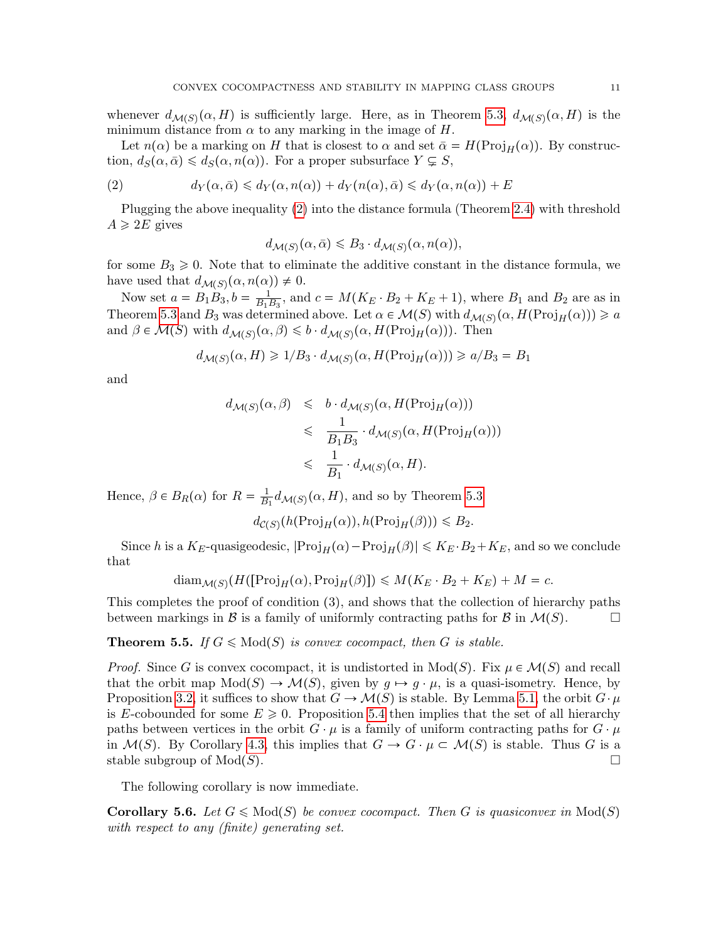whenever  $d_{\mathcal{M}(S)}(\alpha, H)$  is sufficiently large. Here, as in Theorem [5.3,](#page-9-1)  $d_{\mathcal{M}(S)}(\alpha, H)$  is the minimum distance from  $\alpha$  to any marking in the image of H.

Let  $n(\alpha)$  be a marking on H that is closest to  $\alpha$  and set  $\bar{\alpha} = H(\text{Proj}_{H}(\alpha))$ . By construction,  $d_S(\alpha, \bar{\alpha}) \leq d_S(\alpha, n(\alpha))$ . For a proper subsurface  $Y \subsetneq S$ ,

<span id="page-10-2"></span>(2) 
$$
d_Y(\alpha, \bar{\alpha}) \leq d_Y(\alpha, n(\alpha)) + d_Y(n(\alpha), \bar{\alpha}) \leq d_Y(\alpha, n(\alpha)) + E
$$

Plugging the above inequality [\(2\)](#page-10-2) into the distance formula (Theorem [2.4\)](#page-3-0) with threshold  $A \geqslant 2E$  gives

$$
d_{\mathcal{M}(S)}(\alpha,\bar{\alpha}) \leq B_3 \cdot d_{\mathcal{M}(S)}(\alpha,n(\alpha)),
$$

for some  $B_3 \geq 0$ . Note that to eliminate the additive constant in the distance formula, we have used that  $d_{\mathcal{M}(S)}(\alpha, n(\alpha)) \neq 0$ .

Now set  $a = B_1 B_3, b = \frac{1}{B_1}$  $\frac{1}{B_1 B_3}$ , and  $c = M(K_E \cdot B_2 + K_E + 1)$ , where  $B_1$  and  $B_2$  are as in Theorem [5.3](#page-9-1) and  $B_3$  was determined above. Let  $\alpha \in \mathcal{M}(S)$  with  $d_{\mathcal{M}(S)}(\alpha, H(\text{Proj}_H(\alpha))) \geq a$ and  $\beta \in \mathcal{M}(S)$  with  $d_{\mathcal{M}(S)}(\alpha, \beta) \leq b \cdot d_{\mathcal{M}(S)}(\alpha, H(\text{Proj}_H(\alpha)))$ . Then

$$
d_{\mathcal{M}(S)}(\alpha, H) \ge 1/B_3 \cdot d_{\mathcal{M}(S)}(\alpha, H(\text{Proj}_H(\alpha))) \ge a/B_3 = B_1
$$

and

$$
d_{\mathcal{M}(S)}(\alpha, \beta) \leq b \cdot d_{\mathcal{M}(S)}(\alpha, H(\text{Proj}_H(\alpha)))
$$
  

$$
\leq \frac{1}{B_1 B_3} \cdot d_{\mathcal{M}(S)}(\alpha, H(\text{Proj}_H(\alpha)))
$$
  

$$
\leq \frac{1}{B_1} \cdot d_{\mathcal{M}(S)}(\alpha, H).
$$

Hence,  $\beta \in B_R(\alpha)$  for  $R = \frac{1}{B}$  $\frac{1}{B_1}d_{\mathcal{M}(S)}(\alpha, H)$ , and so by Theorem [5.3](#page-9-1)

$$
d_{\mathcal{C}(S)}(h(\mathrm{Proj}_{H}(\alpha)), h(\mathrm{Proj}_{H}(\beta))) \leq B_2.
$$

Since h is a  $K_E$ -quasigeodesic,  $|\text{Proj}_H(\alpha) - \text{Proj}_H(\beta)| \le K_E \cdot B_2 + K_E$ , and so we conclude that

$$
\text{diam}_{\mathcal{M}(S)}(H([\text{Proj}_H(\alpha), \text{Proj}_H(\beta)]) \leq M(K_E \cdot B_2 + K_E) + M = c.
$$

This completes the proof of condition  $(3)$ , and shows that the collection of hierarchy paths between markings in B is a family of uniformly contracting paths for B in  $\mathcal{M}(S)$ .

## <span id="page-10-1"></span>**Theorem 5.5.** If  $G \leq \text{Mod}(S)$  is convex cocompact, then G is stable.

*Proof.* Since G is convex cocompact, it is undistorted in  $Mod(S)$ . Fix  $\mu \in \mathcal{M}(S)$  and recall that the orbit map  $Mod(S) \to \mathcal{M}(S)$ , given by  $q \mapsto q \cdot \mu$ , is a quasi-isometry. Hence, by Proposition [3.2,](#page-5-0) it suffices to show that  $G \to \mathcal{M}(S)$  is stable. By Lemma [5.1,](#page-7-1) the orbit  $G \cdot \mu$ is E-cobounded for some  $E \geq 0$ . Proposition [5.4](#page-9-0) then implies that the set of all hierarchy paths between vertices in the orbit G  $\mu$  is a family of uniform contracting paths for G  $\mu$ in  $\mathcal{M}(S)$ . By Corollary [4.3,](#page-7-2) this implies that  $G \to G \cdot \mu \subset \mathcal{M}(S)$  is stable. Thus G is a stable subgroup of  $Mod(S)$ .

The following corollary is now immediate.

<span id="page-10-0"></span>**Corollary 5.6.** Let  $G \leq \text{Mod}(S)$  be convex cocompact. Then G is quasiconvex in  $\text{Mod}(S)$ with respect to any (finite) generating set.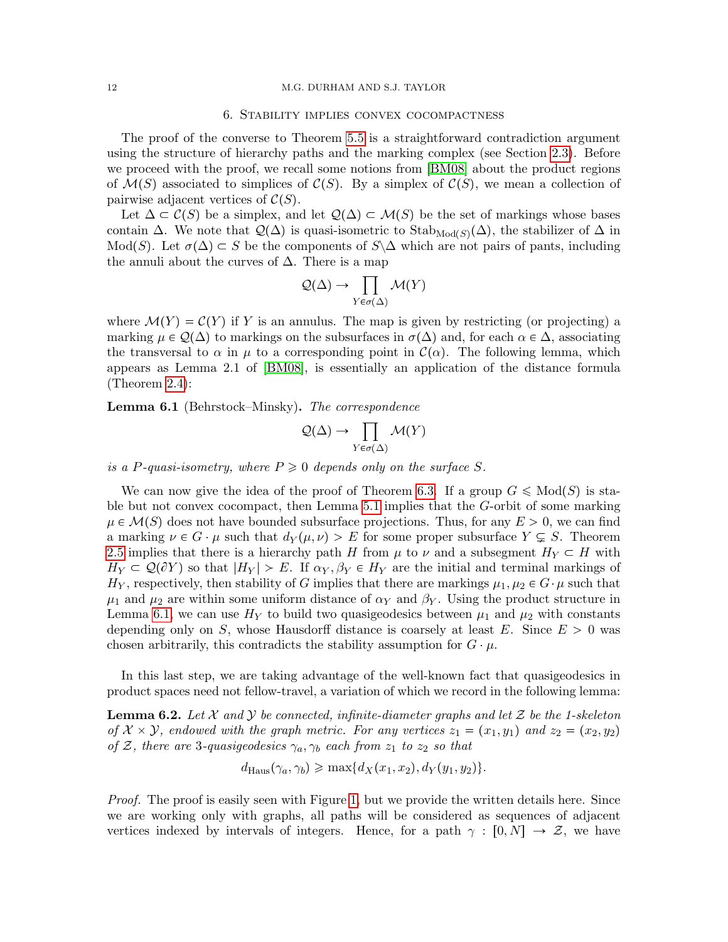#### 12 M.G. DURHAM AND S.J. TAYLOR

## 6. Stability implies convex cocompactness

The proof of the converse to Theorem [5.5](#page-10-1) is a straightforward contradiction argument using the structure of hierarchy paths and the marking complex (see Section [2.3\)](#page-2-0). Before we proceed with the proof, we recall some notions from [\[BM08\]](#page-14-9) about the product regions of  $\mathcal{M}(S)$  associated to simplices of  $\mathcal{C}(S)$ . By a simplex of  $\mathcal{C}(S)$ , we mean a collection of pairwise adjacent vertices of  $\mathcal{C}(S)$ .

Let  $\Delta \subset \mathcal{C}(S)$  be a simplex, and let  $\mathcal{Q}(\Delta) \subset \mathcal{M}(S)$  be the set of markings whose bases contain  $\Delta$ . We note that  $\mathcal{Q}(\Delta)$  is quasi-isometric to Stab<sub>Mod(S)</sub>( $\Delta$ ), the stabilizer of  $\Delta$  in Mod(S). Let  $\sigma(\Delta) \subset S$  be the components of S $\Delta$  which are not pairs of pants, including the annuli about the curves of  $\Delta$ . There is a map

$$
\mathcal{Q}(\Delta) \to \prod_{Y \in \sigma(\Delta)} \mathcal{M}(Y)
$$

where  $\mathcal{M}(Y) = \mathcal{C}(Y)$  if Y is an annulus. The map is given by restricting (or projecting) a marking  $\mu \in \mathcal{Q}(\Delta)$  to markings on the subsurfaces in  $\sigma(\Delta)$  and, for each  $\alpha \in \Delta$ , associating the transversal to  $\alpha$  in  $\mu$  to a corresponding point in  $\mathcal{C}(\alpha)$ . The following lemma, which appears as Lemma 2.1 of [\[BM08\]](#page-14-9), is essentially an application of the distance formula (Theorem [2.4\)](#page-3-0):

<span id="page-11-0"></span>Lemma 6.1 (Behrstock–Minsky). The correspondence

$$
\mathcal{Q}(\Delta) \to \prod_{Y \in \sigma(\Delta)} \mathcal{M}(Y)
$$

is a P-quasi-isometry, where  $P \geq 0$  depends only on the surface S.

We can now give the idea of the proof of Theorem [6.3.](#page-13-0) If a group  $G \leq \text{Mod}(S)$  is stable but not convex cocompact, then Lemma [5.1](#page-7-1) implies that the G-orbit of some marking  $\mu \in \mathcal{M}(S)$  does not have bounded subsurface projections. Thus, for any  $E > 0$ , we can find a marking  $\nu \in G \cdot \mu$  such that  $d_Y(\mu, \nu) > E$  for some proper subsurface  $Y \subsetneq S$ . Theorem [2.5](#page-3-1) implies that there is a hierarchy path H from  $\mu$  to  $\nu$  and a subsegment  $H_Y \subset H$  with  $H_Y \subset \mathcal{Q}(\partial Y)$  so that  $|H_Y| > E$ . If  $\alpha_Y, \beta_Y \in H_Y$  are the initial and terminal markings of  $H_Y$ , respectively, then stability of G implies that there are markings  $\mu_1, \mu_2 \in G \cdot \mu$  such that  $\mu_1$  and  $\mu_2$  are within some uniform distance of  $\alpha_Y$  and  $\beta_Y$ . Using the product structure in Lemma [6.1,](#page-11-0) we can use  $H_Y$  to build two quasigeodesics between  $\mu_1$  and  $\mu_2$  with constants depending only on S, whose Hausdorff distance is coarsely at least  $E$ . Since  $E > 0$  was chosen arbitrarily, this contradicts the stability assumption for  $G \cdot \mu$ .

In this last step, we are taking advantage of the well-known fact that quasigeodesics in product spaces need not fellow-travel, a variation of which we record in the following lemma:

<span id="page-11-1"></span>**Lemma 6.2.** Let X and Y be connected, infinite-diameter graphs and let Z be the 1-skeleton of  $X \times Y$ , endowed with the graph metric. For any vertices  $z_1 = (x_1, y_1)$  and  $z_2 = (x_2, y_2)$ of Z, there are 3-quasigeodesics  $\gamma_a, \gamma_b$  each from  $z_1$  to  $z_2$  so that

$$
d_{\text{Haus}}(\gamma_a, \gamma_b) \ge \max\{d_X(x_1, x_2), d_Y(y_1, y_2)\}.
$$

Proof. The proof is easily seen with Figure [1,](#page-12-0) but we provide the written details here. Since we are working only with graphs, all paths will be considered as sequences of adjacent vertices indexed by intervals of integers. Hence, for a path  $\gamma : [0, N] \rightarrow \mathcal{Z}$ , we have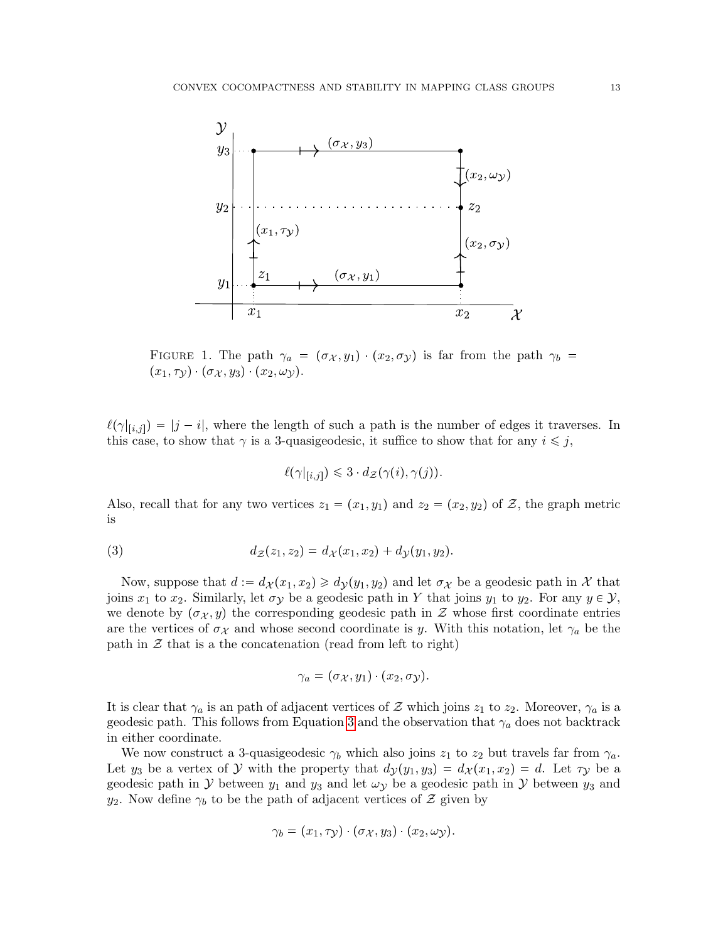

<span id="page-12-0"></span>FIGURE 1. The path  $\gamma_a = (\sigma_X, y_1) \cdot (x_2, \sigma_Y)$  is far from the path  $\gamma_b =$  $(x_1, \tau_\mathcal{Y}) \cdot (\sigma_\mathcal{X}, y_3) \cdot (x_2, \omega_\mathcal{Y}).$ 

 $\ell(\gamma|_{[i,j]}) = |j - i|$ , where the length of such a path is the number of edges it traverses. In this case, to show that  $\gamma$  is a 3-quasigeodesic, it suffice to show that for any  $i \leq j$ ,

<span id="page-12-1"></span>
$$
\ell(\gamma|_{[i,j]}) \leq 3 \cdot d_{\mathcal{Z}}(\gamma(i), \gamma(j)).
$$

Also, recall that for any two vertices  $z_1 = (x_1, y_1)$  and  $z_2 = (x_2, y_2)$  of Z, the graph metric is

(3) 
$$
d_{\mathcal{Z}}(z_1, z_2) = d_{\mathcal{X}}(x_1, x_2) + d_{\mathcal{Y}}(y_1, y_2).
$$

Now, suppose that  $d := d_{\mathcal{X}}(x_1, x_2) \geq d_{\mathcal{Y}}(y_1, y_2)$  and let  $\sigma_{\mathcal{X}}$  be a geodesic path in X that joins  $x_1$  to  $x_2$ . Similarly, let  $\sigma_{\mathcal{V}}$  be a geodesic path in Y that joins  $y_1$  to  $y_2$ . For any  $y \in \mathcal{Y}$ , we denote by  $(\sigma_X, y)$  the corresponding geodesic path in Z whose first coordinate entries are the vertices of  $\sigma_{\mathcal{X}}$  and whose second coordinate is y. With this notation, let  $\gamma_a$  be the path in  $\mathcal Z$  that is a the concatenation (read from left to right)

$$
\gamma_a = (\sigma_{\mathcal{X}}, y_1) \cdot (x_2, \sigma_{\mathcal{Y}}).
$$

It is clear that  $\gamma_a$  is an path of adjacent vertices of Z which joins  $z_1$  to  $z_2$ . Moreover,  $\gamma_a$  is a geodesic path. This follows from Equation [3](#page-12-1) and the observation that  $\gamma_a$  does not backtrack in either coordinate.

We now construct a 3-quasigeodesic  $\gamma_b$  which also joins  $z_1$  to  $z_2$  but travels far from  $\gamma_a$ . Let  $y_3$  be a vertex of Y with the property that  $d<sub>y</sub>(y_1, y_3) = d<sub>x</sub>(x_1, x_2) = d$ . Let  $\tau<sub>y</sub>$  be a geodesic path in Y between  $y_1$  and  $y_3$  and let  $\omega$ y be a geodesic path in Y between  $y_3$  and  $y_2$ . Now define  $\gamma_b$  to be the path of adjacent vertices of  $\mathcal Z$  given by

$$
\gamma_b = (x_1, \tau_{\mathcal{Y}}) \cdot (\sigma_{\mathcal{X}}, y_3) \cdot (x_2, \omega_{\mathcal{Y}}).
$$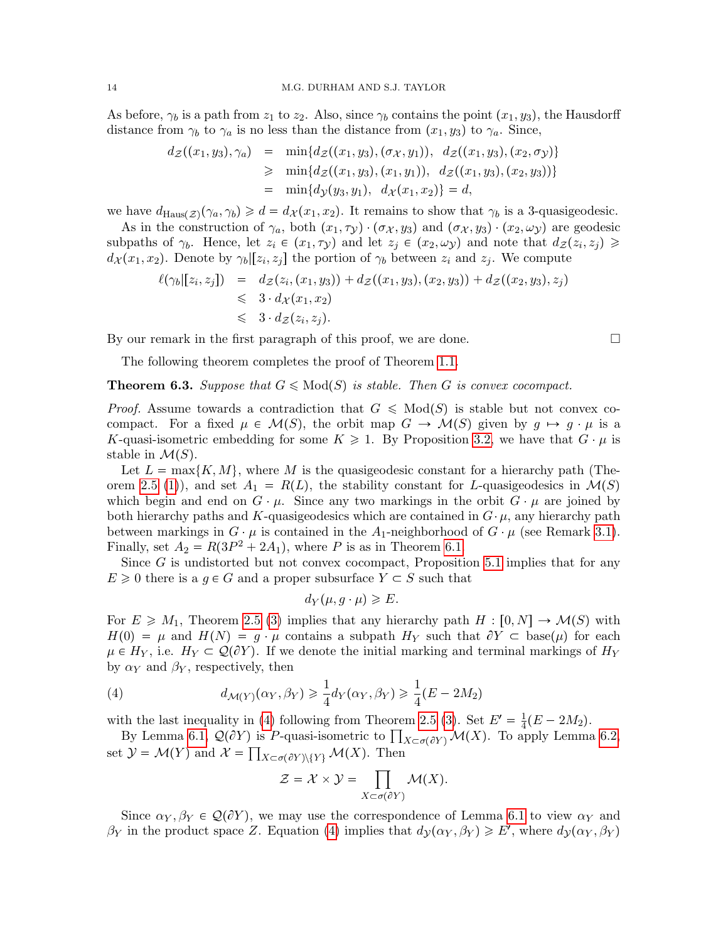As before,  $\gamma_b$  is a path from  $z_1$  to  $z_2$ . Also, since  $\gamma_b$  contains the point  $(x_1, y_3)$ , the Hausdorff distance from  $\gamma_b$  to  $\gamma_a$  is no less than the distance from  $(x_1, y_3)$  to  $\gamma_a$ . Since,

$$
d_{\mathcal{Z}}((x_1, y_3), \gamma_a) = \min\{d_{\mathcal{Z}}((x_1, y_3), (\sigma_{\mathcal{X}}, y_1)), d_{\mathcal{Z}}((x_1, y_3), (x_2, \sigma_{\mathcal{Y}}))\}
$$
  
\n
$$
\geq \min\{d_{\mathcal{Z}}((x_1, y_3), (x_1, y_1)), d_{\mathcal{Z}}((x_1, y_3), (x_2, y_3))\}
$$
  
\n
$$
= \min\{d_{\mathcal{Y}}(y_3, y_1), d_{\mathcal{X}}(x_1, x_2)\} = d,
$$

we have  $d_{\text{Haus}(\mathcal{Z})}(\gamma_a, \gamma_b) \geq d = d_{\mathcal{X}}(x_1, x_2)$ . It remains to show that  $\gamma_b$  is a 3-quasigeodesic.

As in the construction of  $\gamma_a$ , both  $(x_1, \tau_y) \cdot (\sigma_x, y_3)$  and  $(\sigma_x, y_3) \cdot (x_2, \omega_y)$  are geodesic subpaths of  $\gamma_b$ . Hence, let  $z_i \in (x_1, \tau_{\mathcal{Y}})$  and let  $z_j \in (x_2, \omega_{\mathcal{Y}})$  and note that  $d_{\mathcal{Z}}(z_i, z_j) \geq$  $d_{\mathcal{X}}(x_1, x_2)$ . Denote by  $\gamma_b[[z_i, z_j]]$  the portion of  $\gamma_b$  between  $z_i$  and  $z_j$ . We compute

$$
\ell(\gamma_b|[z_i, z_j]) = d_{\mathcal{Z}}(z_i, (x_1, y_3)) + d_{\mathcal{Z}}((x_1, y_3), (x_2, y_3)) + d_{\mathcal{Z}}((x_2, y_3), z_j) \n\leq 3 \cdot d_{\mathcal{X}}(x_1, x_2) \n\leq 3 \cdot d_{\mathcal{Z}}(z_i, z_j).
$$

By our remark in the first paragraph of this proof, we are done.  $\Box$ 

The following theorem completes the proof of Theorem [1.1.](#page-1-0)

## <span id="page-13-0"></span>**Theorem 6.3.** Suppose that  $G \leq \text{Mod}(S)$  is stable. Then G is convex cocompact.

*Proof.* Assume towards a contradiction that  $G \leq \text{Mod}(S)$  is stable but not convex cocompact. For a fixed  $\mu \in \mathcal{M}(S)$ , the orbit map  $G \to \mathcal{M}(S)$  given by  $g \mapsto g \cdot \mu$  is a K-quasi-isometric embedding for some  $K \geq 1$ . By Proposition [3.2,](#page-5-0) we have that  $G \mu$  is stable in  $\mathcal{M}(S)$ .

Let  $L = \max\{K, M\}$ , where M is the quasigeodesic constant for a hierarchy path (The-orem [2.5](#page-3-1) [\(1\)](#page-4-0)), and set  $A_1 = R(L)$ , the stability constant for L-quasigeodesics in  $\mathcal{M}(S)$ which begin and end on G  $\mu$ . Since any two markings in the orbit G  $\mu$  are joined by both hierarchy paths and K-quasigeodesics which are contained in  $G \cdot \mu$ , any hierarchy path between markings in  $G \cdot \mu$  is contained in the  $A_1$ -neighborhood of  $G \cdot \mu$  (see Remark [3.1\)](#page-5-2). Finally, set  $A_2 = R(3P^2 + 2A_1)$ , where P is as in Theorem [6.1.](#page-11-0)

Since  $G$  is undistorted but not convex cocompact, Proposition [5.1](#page-7-1) implies that for any  $E \geq 0$  there is a  $g \in G$  and a proper subsurface  $Y \subset S$  such that

$$
d_Y(\mu, g \cdot \mu) \geqslant E.
$$

For  $E \geq M_1$ , Theorem [2.5](#page-3-1) [\(3\)](#page-4-2) implies that any hierarchy path  $H : [0, N] \to \mathcal{M}(S)$  with  $H(0) = \mu$  and  $H(N) = g \cdot \mu$  contains a subpath  $H_Y$  such that  $\partial Y \subset \text{base}(\mu)$  for each  $\mu \in H_Y$ , i.e.  $H_Y \subset \mathcal{Q}(\partial Y)$ . If we denote the initial marking and terminal markings of  $H_Y$ by  $\alpha_Y$  and  $\beta_Y$ , respectively, then

(4) 
$$
d_{\mathcal{M}(Y)}(\alpha_Y, \beta_Y) \geq \frac{1}{4} d_Y(\alpha_Y, \beta_Y) \geq \frac{1}{4} (E - 2M_2)
$$

with the last inequality in [\(4\)](#page-13-1) following from Theorem [2.5](#page-3-1) [\(3\)](#page-4-2). Set  $E' = \frac{1}{4}$  $\frac{1}{4}(E-2M_2).$ 

By Lemma [6.1,](#page-11-0)  $\mathcal{Q}(\partial Y)$  is P-quasi-isometric to  $\prod_{X\subset\sigma(\partial Y)}\mathcal{M}(X)$ . To apply Lemma [6.2,](#page-11-1) set  $\mathcal{Y} = \mathcal{M}(Y)$  and  $\mathcal{X} = \prod_{X \subset \sigma(\partial Y) \setminus \{Y\}} \mathcal{M}(X)$ . Then

<span id="page-13-1"></span>
$$
\mathcal{Z} = \mathcal{X} \times \mathcal{Y} = \prod_{X \subset \sigma(\partial Y)} \mathcal{M}(X).
$$

Since  $\alpha_Y, \beta_Y \in \mathcal{Q}(\partial Y)$ , we may use the correspondence of Lemma [6.1](#page-11-0) to view  $\alpha_Y$  and  $\beta_Y$  in the product space Z. Equation [\(4\)](#page-13-1) implies that  $d_{\mathcal{Y}}(\alpha_Y, \beta_Y) \geq E'$ , where  $d_{\mathcal{Y}}(\alpha_Y, \beta_Y)$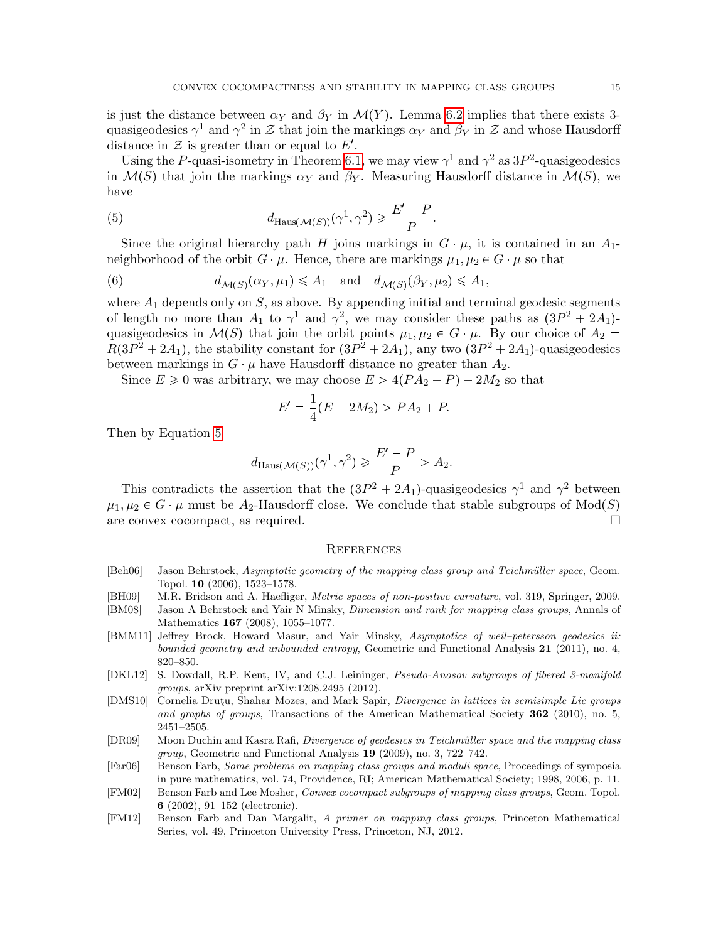is just the distance between  $\alpha_Y$  and  $\beta_Y$  in  $\mathcal{M}(Y)$ . Lemma [6.2](#page-11-1) implies that there exists 3quasigeodesics  $\gamma^1$  and  $\gamma^2$  in  $\mathcal Z$  that join the markings  $\alpha_Y$  and  $\beta_Y$  in  $\mathcal Z$  and whose Hausdorff distance in  $\mathcal Z$  is greater than or equal to  $E'$ .

Using the P-quasi-isometry in Theorem [6.1,](#page-11-0) we may view  $\gamma^1$  and  $\gamma^2$  as  $3P^2$ -quasigeodesics in  $\mathcal{M}(S)$  that join the markings  $\alpha_Y$  and  $\beta_Y$ . Measuring Hausdorff distance in  $\mathcal{M}(S)$ , we have

(5) 
$$
d_{\text{Haus}(\mathcal{M}(S))}(\gamma^1, \gamma^2) \geqslant \frac{E'-P}{P}.
$$

<span id="page-14-10"></span>Since the original hierarchy path H joins markings in  $G \cdot \mu$ , it is contained in an  $A_1$ neighborhood of the orbit  $G \cdot \mu$ . Hence, there are markings  $\mu_1, \mu_2 \in G \cdot \mu$  so that

(6) 
$$
d_{\mathcal{M}(S)}(\alpha_Y, \mu_1) \leq A_1 \quad \text{and} \quad d_{\mathcal{M}(S)}(\beta_Y, \mu_2) \leq A_1,
$$

where  $A_1$  depends only on  $S$ , as above. By appending initial and terminal geodesic segments of length no more than  $A_1$  to  $\gamma^1$  and  $\gamma^2$ , we may consider these paths as  $(3P^2 + 2A_1)$ quasigeodesics in  $\mathcal{M}(S)$  that join the orbit points  $\mu_1, \mu_2 \in G \cdot \mu$ . By our choice of  $A_2 =$  $R(3P^2 + 2A_1)$ , the stability constant for  $(3P^2 + 2A_1)$ , any two  $(3P^2 + 2A_1)$ -quasigeodesics between markings in  $G \cdot \mu$  have Hausdorff distance no greater than  $A_2$ .

Since  $E \ge 0$  was arbitrary, we may choose  $E > 4(PA_2 + P) + 2M_2$  so that

$$
E' = \frac{1}{4}(E - 2M_2) > PA_2 + P.
$$

Then by Equation [5](#page-14-10)

$$
d_{\text{Haus}(\mathcal{M}(S))}(\gamma^1, \gamma^2) \geqslant \frac{E'-P}{P} > A_2.
$$

This contradicts the assertion that the  $(3P^2 + 2A_1)$ -quasigeodesics  $\gamma^1$  and  $\gamma^2$  between  $\mu_1, \mu_2 \in G \cdot \mu$  must be A<sub>2</sub>-Hausdorff close. We conclude that stable subgroups of Mod(S) are convex cocompact, as required.

### **REFERENCES**

- <span id="page-14-0"></span>[Beh06] Jason Behrstock, Asymptotic geometry of the mapping class group and Teichmüller space, Geom. Topol. 10 (2006), 1523–1578.
- <span id="page-14-5"></span>[BH09] M.R. Bridson and A. Haefliger, Metric spaces of non-positive curvature, vol. 319, Springer, 2009.
- <span id="page-14-9"></span>[BM08] Jason A Behrstock and Yair N Minsky, Dimension and rank for mapping class groups, Annals of Mathematics **167** (2008), 1055-1077.
- <span id="page-14-7"></span>[BMM11] Jeffrey Brock, Howard Masur, and Yair Minsky, Asymptotics of weil–petersson geodesics ii: bounded geometry and unbounded entropy, Geometric and Functional Analysis 21 (2011), no. 4, 820–850.
- <span id="page-14-4"></span>[DKL12] S. Dowdall, R.P. Kent, IV, and C.J. Leininger, Pseudo-Anosov subgroups of fibered 3-manifold groups, arXiv preprint arXiv:1208.2495 (2012).
- <span id="page-14-3"></span>[DMS10] Cornelia Drutu, Shahar Mozes, and Mark Sapir, Divergence in lattices in semisimple Lie groups and graphs of groups, Transactions of the American Mathematical Society 362 (2010), no. 5, 2451–2505.
- <span id="page-14-8"></span>[DR09] Moon Duchin and Kasra Rafi, Divergence of geodesics in Teichmüller space and the mapping class group, Geometric and Functional Analysis 19 (2009), no. 3, 722–742.
- <span id="page-14-2"></span>[Far06] Benson Farb, Some problems on mapping class groups and moduli space, Proceedings of symposia in pure mathematics, vol. 74, Providence, RI; American Mathematical Society; 1998, 2006, p. 11.
- <span id="page-14-1"></span>[FM02] Benson Farb and Lee Mosher, Convex cocompact subgroups of mapping class groups, Geom. Topol. 6 (2002), 91–152 (electronic).
- <span id="page-14-6"></span>[FM12] Benson Farb and Dan Margalit, A primer on mapping class groups, Princeton Mathematical Series, vol. 49, Princeton University Press, Princeton, NJ, 2012.